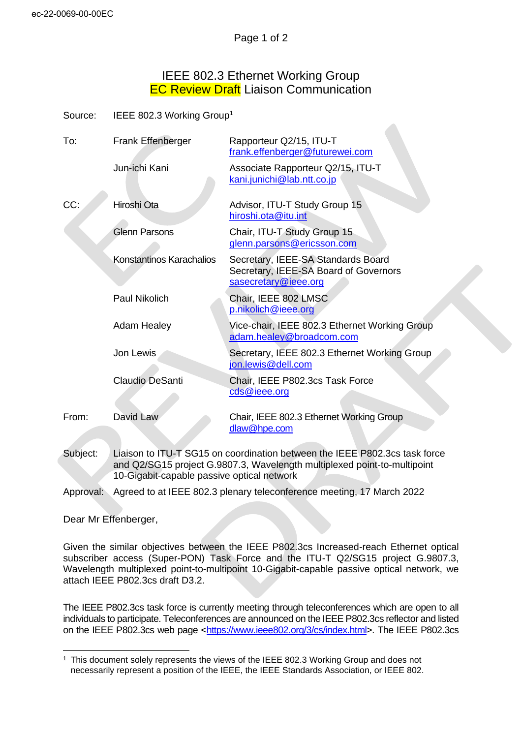## IEEE 802.3 Ethernet Working Group **EC Review Draft Liaison Communication**

| Source: | IEEE 802.3 Working Group <sup>1</sup> |
|---------|---------------------------------------|
|---------|---------------------------------------|

| To:   | Frank Effenberger        | Rapporteur Q2/15, ITU-T<br>frank.effenberger@futurewei.com                                          |
|-------|--------------------------|-----------------------------------------------------------------------------------------------------|
|       | Jun-ichi Kani            | Associate Rapporteur Q2/15, ITU-T<br>kani.junichi@lab.ntt.co.jp                                     |
| CC:   | Hiroshi Ota              | Advisor, ITU-T Study Group 15<br>hiroshi.ota@itu.int                                                |
|       | <b>Glenn Parsons</b>     | Chair, ITU-T Study Group 15<br>glenn.parsons@ericsson.com                                           |
|       | Konstantinos Karachalios | Secretary, IEEE-SA Standards Board<br>Secretary, IEEE-SA Board of Governors<br>sasecretary@ieee.org |
|       | <b>Paul Nikolich</b>     | Chair, IEEE 802 LMSC<br>p.nikolich@ieee.org                                                         |
|       | <b>Adam Healey</b>       | Vice-chair, IEEE 802.3 Ethernet Working Group<br>adam.healey@broadcom.com                           |
|       | Jon Lewis                | Secretary, IEEE 802.3 Ethernet Working Group<br>jon.lewis@dell.com                                  |
|       | Claudio DeSanti          | Chair, IEEE P802.3cs Task Force<br>cds@ieee.org                                                     |
| From: | David Law                | Chair, IEEE 802.3 Ethernet Working Group<br>dlaw@hpe.com                                            |

Subject: Liaison to ITU-T SG15 on coordination between the IEEE P802.3cs task force and Q2/SG15 project G.9807.3, Wavelength multiplexed point-to-multipoint 10-Gigabit-capable passive optical network

Approval: Agreed to at IEEE 802.3 plenary teleconference meeting, 17 March 2022

Dear Mr Effenberger,

Given the similar objectives between the IEEE P802.3cs Increased-reach Ethernet optical subscriber access (Super-PON) Task Force and the ITU-T Q2/SG15 project G.9807.3, Wavelength multiplexed point-to-multipoint 10-Gigabit-capable passive optical network, we attach IEEE P802.3cs draft D3.2.

The IEEE P802.3cs task force is currently meeting through teleconferences which are open to all individuals to participate. Teleconferences are announced on the IEEE P802.3cs reflector and listed on the IEEE P802.3cs web page [<https://www.ieee802.org/3/cs/index.html>](https://www.ieee802.org/3/cs/index.html). The IEEE P802.3cs

<sup>1</sup> This document solely represents the views of the IEEE 802.3 Working Group and does not necessarily represent a position of the IEEE, the IEEE Standards Association, or IEEE 802.